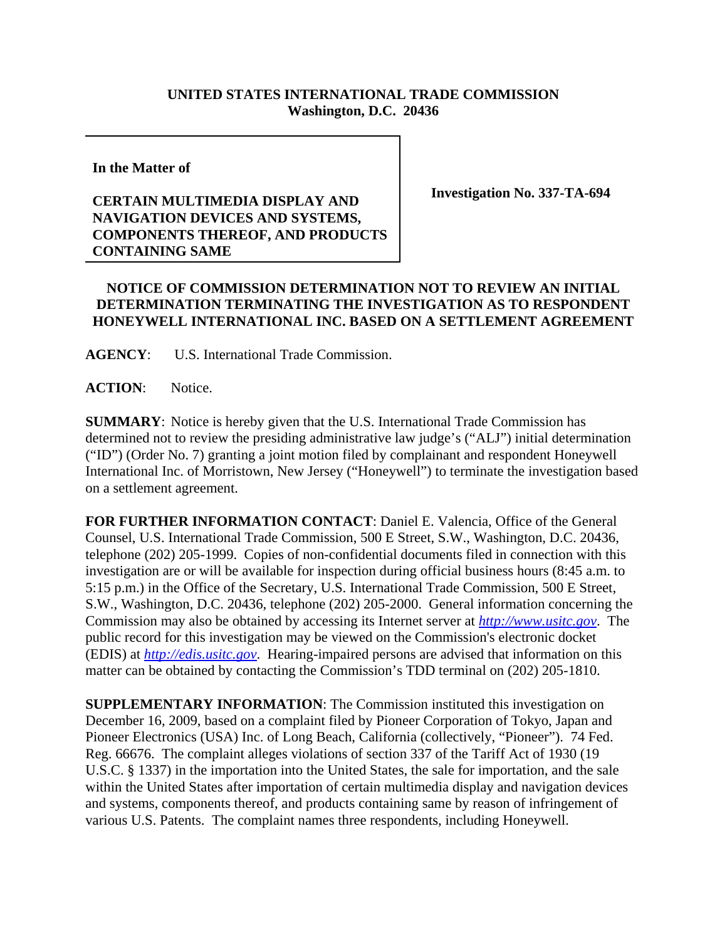## **UNITED STATES INTERNATIONAL TRADE COMMISSION Washington, D.C. 20436**

**In the Matter of** 

## **CERTAIN MULTIMEDIA DISPLAY AND NAVIGATION DEVICES AND SYSTEMS, COMPONENTS THEREOF, AND PRODUCTS CONTAINING SAME**

**Investigation No. 337-TA-694**

## **NOTICE OF COMMISSION DETERMINATION NOT TO REVIEW AN INITIAL DETERMINATION TERMINATING THE INVESTIGATION AS TO RESPONDENT HONEYWELL INTERNATIONAL INC. BASED ON A SETTLEMENT AGREEMENT**

**AGENCY**: U.S. International Trade Commission.

**ACTION**: Notice.

**SUMMARY**: Notice is hereby given that the U.S. International Trade Commission has determined not to review the presiding administrative law judge's ("ALJ") initial determination ("ID") (Order No. 7) granting a joint motion filed by complainant and respondent Honeywell International Inc. of Morristown, New Jersey ("Honeywell") to terminate the investigation based on a settlement agreement.

**FOR FURTHER INFORMATION CONTACT**: Daniel E. Valencia, Office of the General Counsel, U.S. International Trade Commission, 500 E Street, S.W., Washington, D.C. 20436, telephone (202) 205-1999. Copies of non-confidential documents filed in connection with this investigation are or will be available for inspection during official business hours (8:45 a.m. to 5:15 p.m.) in the Office of the Secretary, U.S. International Trade Commission, 500 E Street, S.W., Washington, D.C. 20436, telephone (202) 205-2000. General information concerning the Commission may also be obtained by accessing its Internet server at *http://www.usitc.gov*. The public record for this investigation may be viewed on the Commission's electronic docket (EDIS) at *http://edis.usitc.gov*. Hearing-impaired persons are advised that information on this matter can be obtained by contacting the Commission's TDD terminal on (202) 205-1810.

**SUPPLEMENTARY INFORMATION**: The Commission instituted this investigation on December 16, 2009, based on a complaint filed by Pioneer Corporation of Tokyo, Japan and Pioneer Electronics (USA) Inc. of Long Beach, California (collectively, "Pioneer"). 74 Fed. Reg. 66676. The complaint alleges violations of section 337 of the Tariff Act of 1930 (19 U.S.C. § 1337) in the importation into the United States, the sale for importation, and the sale within the United States after importation of certain multimedia display and navigation devices and systems, components thereof, and products containing same by reason of infringement of various U.S. Patents. The complaint names three respondents, including Honeywell.